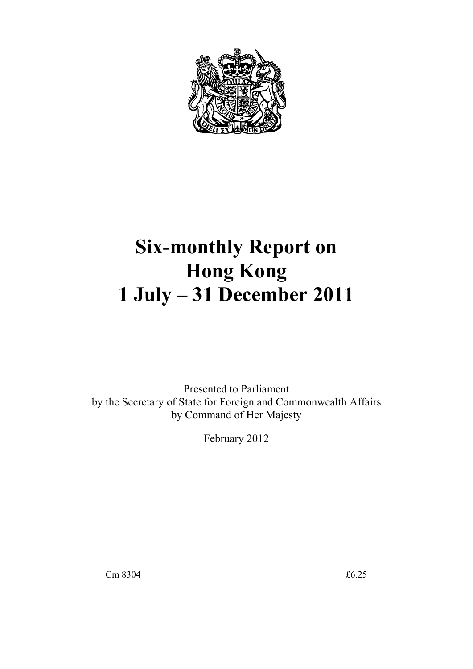

# **Six-monthly Report on Hong Kong 1 July – 31 December 2011**

Presented to Parliament by the Secretary of State for Foreign and Commonwealth Affairs by Command of Her Majesty

February 2012

Cm 8304  $\text{£}6.25$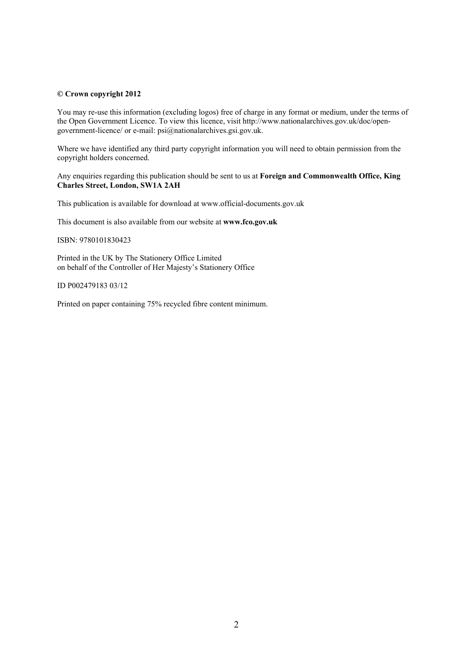#### **© Crown copyright 2012**

You may re-use this information (excluding logos) free of charge in any format or medium, under the terms of the Open Government Licence. To view this licence, visit http://www.nationalarchives.gov.uk/doc/opengovernment-licence/ or e-mail: psi@nationalarchives.gsi.gov.uk.

Where we have identified any third party copyright information you will need to obtain permission from the copyright holders concerned.

Any enquiries regarding this publication should be sent to us at **Foreign and Commonwealth Office, King Charles Street, London, SW1A 2AH** 

This publication is available for download at www.official-documents.gov.uk

This document is also available from our website at **www.fco.gov.uk** 

ISBN: 9780101830423

Printed in the UK by The Stationery Office Limited on behalf of the Controller of Her Majesty's Stationery Office

ID P002479183 03/12

Printed on paper containing 75% recycled fibre content minimum.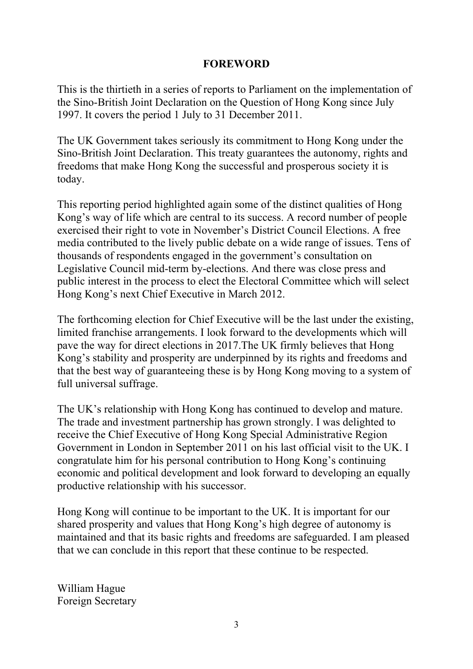#### **FOREWORD**

This is the thirtieth in a series of reports to Parliament on the implementation of the Sino-British Joint Declaration on the Question of Hong Kong since July 1997. It covers the period 1 July to 31 December 2011.

The UK Government takes seriously its commitment to Hong Kong under the Sino-British Joint Declaration. This treaty guarantees the autonomy, rights and freedoms that make Hong Kong the successful and prosperous society it is today.

This reporting period highlighted again some of the distinct qualities of Hong Kong's way of life which are central to its success. A record number of people exercised their right to vote in November's District Council Elections. A free media contributed to the lively public debate on a wide range of issues. Tens of thousands of respondents engaged in the government's consultation on Legislative Council mid-term by-elections. And there was close press and public interest in the process to elect the Electoral Committee which will select Hong Kong's next Chief Executive in March 2012.

The forthcoming election for Chief Executive will be the last under the existing, limited franchise arrangements. I look forward to the developments which will pave the way for direct elections in 2017.The UK firmly believes that Hong Kong's stability and prosperity are underpinned by its rights and freedoms and that the best way of guaranteeing these is by Hong Kong moving to a system of full universal suffrage.

The UK's relationship with Hong Kong has continued to develop and mature. The trade and investment partnership has grown strongly. I was delighted to receive the Chief Executive of Hong Kong Special Administrative Region Government in London in September 2011 on his last official visit to the UK. I congratulate him for his personal contribution to Hong Kong's continuing economic and political development and look forward to developing an equally productive relationship with his successor.

Hong Kong will continue to be important to the UK. It is important for our shared prosperity and values that Hong Kong's high degree of autonomy is maintained and that its basic rights and freedoms are safeguarded. I am pleased that we can conclude in this report that these continue to be respected.

William Hague Foreign Secretary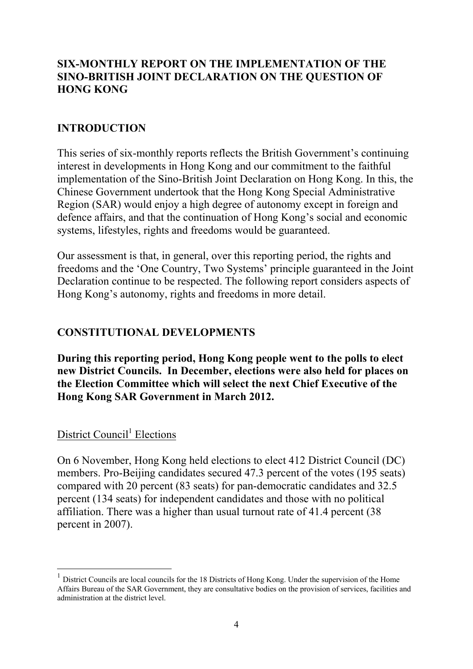# **SIX-MONTHLY REPORT ON THE IMPLEMENTATION OF THE SINO-BRITISH JOINT DECLARATION ON THE QUESTION OF HONG KONG**

#### **INTRODUCTION**

This series of six-monthly reports reflects the British Government's continuing interest in developments in Hong Kong and our commitment to the faithful implementation of the Sino-British Joint Declaration on Hong Kong. In this, the Chinese Government undertook that the Hong Kong Special Administrative Region (SAR) would enjoy a high degree of autonomy except in foreign and defence affairs, and that the continuation of Hong Kong's social and economic systems, lifestyles, rights and freedoms would be guaranteed.

Our assessment is that, in general, over this reporting period, the rights and freedoms and the 'One Country, Two Systems' principle guaranteed in the Joint Declaration continue to be respected. The following report considers aspects of Hong Kong's autonomy, rights and freedoms in more detail.

#### **CONSTITUTIONAL DEVELOPMENTS**

**During this reporting period, Hong Kong people went to the polls to elect new District Councils. In December, elections were also held for places on the Election Committee which will select the next Chief Executive of the Hong Kong SAR Government in March 2012.** 

# District Council<sup>1</sup> Elections

1

On 6 November, Hong Kong held elections to elect 412 District Council (DC) members. Pro-Beijing candidates secured 47.3 percent of the votes (195 seats) compared with 20 percent (83 seats) for pan-democratic candidates and 32.5 percent (134 seats) for independent candidates and those with no political affiliation. There was a higher than usual turnout rate of 41.4 percent (38 percent in 2007).

<sup>1</sup> District Councils are local councils for the 18 Districts of Hong Kong. Under the supervision of the Home Affairs Bureau of the SAR Government, they are consultative bodies on the provision of services, facilities and administration at the district level.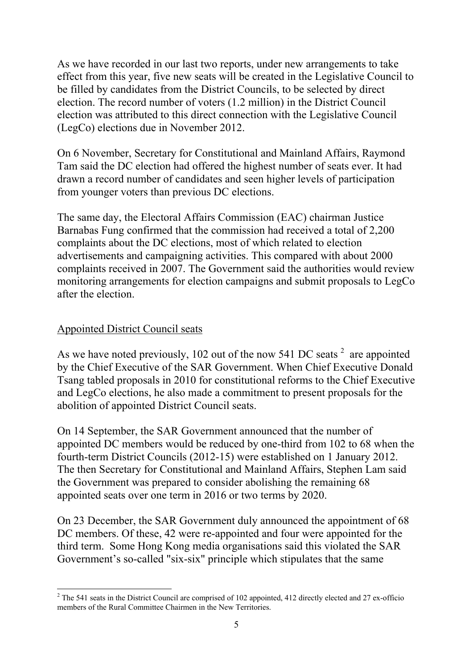As we have recorded in our last two reports, under new arrangements to take effect from this year, five new seats will be created in the Legislative Council to be filled by candidates from the District Councils, to be selected by direct election. The record number of voters (1.2 million) in the District Council election was attributed to this direct connection with the Legislative Council (LegCo) elections due in November 2012.

On 6 November, Secretary for Constitutional and Mainland Affairs, Raymond Tam said the DC election had offered the highest number of seats ever. It had drawn a record number of candidates and seen higher levels of participation from younger voters than previous DC elections.

The same day, the Electoral Affairs Commission (EAC) chairman Justice Barnabas Fung confirmed that the commission had received a total of 2,200 complaints about the DC elections, most of which related to election advertisements and campaigning activities. This compared with about 2000 complaints received in 2007. The Government said the authorities would review monitoring arrangements for election campaigns and submit proposals to LegCo after the election.

#### Appointed District Council seats

As we have noted previously, 102 out of the now 541 DC seats  $2^2$  are appointed by the Chief Executive of the SAR Government. When Chief Executive Donald Tsang tabled proposals in 2010 for constitutional reforms to the Chief Executive and LegCo elections, he also made a commitment to present proposals for the abolition of appointed District Council seats.

On 14 September, the SAR Government announced that the number of appointed DC members would be reduced by one-third from 102 to 68 when the fourth-term District Councils (2012-15) were established on 1 January 2012. The then Secretary for Constitutional and Mainland Affairs, Stephen Lam said the Government was prepared to consider abolishing the remaining 68 appointed seats over one term in 2016 or two terms by 2020.

On 23 December, the SAR Government duly announced the appointment of 68 DC members. Of these, 42 were re-appointed and four were appointed for the third term. Some Hong Kong media organisations said this violated the SAR Government's so-called "six-six" principle which stipulates that the same

<sup>&</sup>lt;u>.</u>  $2$  The 541 seats in the District Council are comprised of 102 appointed, 412 directly elected and 27 ex-officio members of the Rural Committee Chairmen in the New Territories.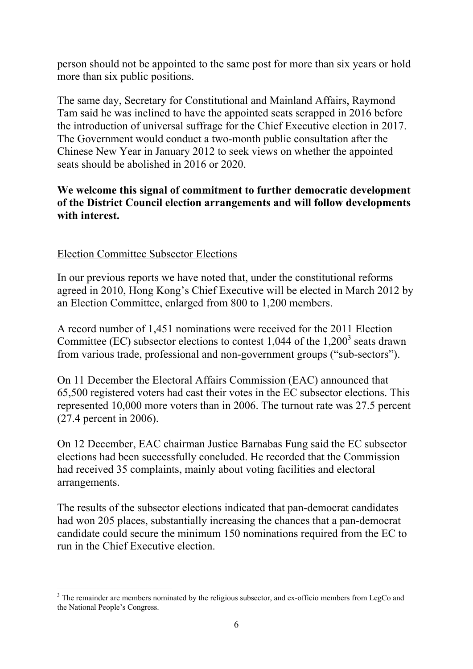person should not be appointed to the same post for more than six years or hold more than six public positions.

The same day, Secretary for Constitutional and Mainland Affairs, Raymond Tam said he was inclined to have the appointed seats scrapped in 2016 before the introduction of universal suffrage for the Chief Executive election in 2017. The Government would conduct a two-month public consultation after the Chinese New Year in January 2012 to seek views on whether the appointed seats should be abolished in 2016 or 2020.

# **We welcome this signal of commitment to further democratic development of the District Council election arrangements and will follow developments with interest.**

## Election Committee Subsector Elections

In our previous reports we have noted that, under the constitutional reforms agreed in 2010, Hong Kong's Chief Executive will be elected in March 2012 by an Election Committee, enlarged from 800 to 1,200 members.

A record number of 1,451 nominations were received for the 2011 Election Committee (EC) subsector elections to contest 1,044 of the 1,200<sup>3</sup> seats drawn from various trade, professional and non-government groups ("sub-sectors").

On 11 December the Electoral Affairs Commission (EAC) announced that 65,500 registered voters had cast their votes in the EC subsector elections. This represented 10,000 more voters than in 2006. The turnout rate was 27.5 percent (27.4 percent in 2006).

On 12 December, EAC chairman Justice Barnabas Fung said the EC subsector elections had been successfully concluded. He recorded that the Commission had received 35 complaints, mainly about voting facilities and electoral arrangements.

The results of the subsector elections indicated that pan-democrat candidates had won 205 places, substantially increasing the chances that a pan-democrat candidate could secure the minimum 150 nominations required from the EC to run in the Chief Executive election.

<sup>&</sup>lt;u>.</u>  $3$  The remainder are members nominated by the religious subsector, and ex-officio members from LegCo and the National People's Congress.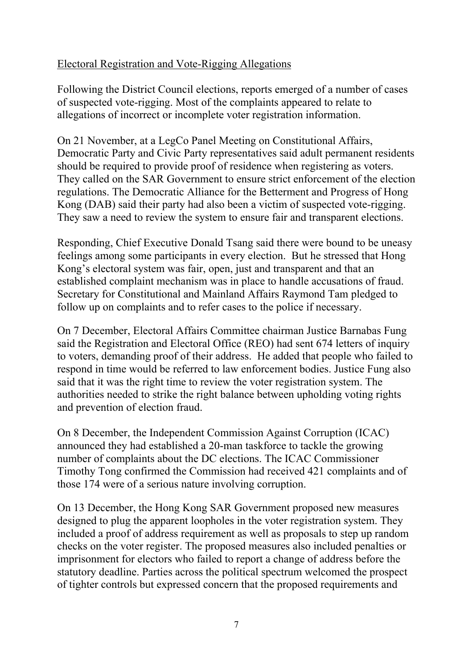# Electoral Registration and Vote-Rigging Allegations

Following the District Council elections, reports emerged of a number of cases of suspected vote-rigging. Most of the complaints appeared to relate to allegations of incorrect or incomplete voter registration information.

On 21 November, at a LegCo Panel Meeting on Constitutional Affairs, Democratic Party and Civic Party representatives said adult permanent residents should be required to provide proof of residence when registering as voters. They called on the SAR Government to ensure strict enforcement of the election regulations. The Democratic Alliance for the Betterment and Progress of Hong Kong (DAB) said their party had also been a victim of suspected vote-rigging. They saw a need to review the system to ensure fair and transparent elections.

Responding, Chief Executive Donald Tsang said there were bound to be uneasy feelings among some participants in every election. But he stressed that Hong Kong's electoral system was fair, open, just and transparent and that an established complaint mechanism was in place to handle accusations of fraud. Secretary for Constitutional and Mainland Affairs Raymond Tam pledged to follow up on complaints and to refer cases to the police if necessary.

On 7 December, Electoral Affairs Committee chairman Justice Barnabas Fung said the Registration and Electoral Office (REO) had sent 674 letters of inquiry to voters, demanding proof of their address. He added that people who failed to respond in time would be referred to law enforcement bodies. Justice Fung also said that it was the right time to review the voter registration system. The authorities needed to strike the right balance between upholding voting rights and prevention of election fraud.

On 8 December, the Independent Commission Against Corruption (ICAC) announced they had established a 20-man taskforce to tackle the growing number of complaints about the DC elections. The ICAC Commissioner Timothy Tong confirmed the Commission had received 421 complaints and of those 174 were of a serious nature involving corruption.

On 13 December, the Hong Kong SAR Government proposed new measures designed to plug the apparent loopholes in the voter registration system. They included a proof of address requirement as well as proposals to step up random checks on the voter register. The proposed measures also included penalties or imprisonment for electors who failed to report a change of address before the statutory deadline. Parties across the political spectrum welcomed the prospect of tighter controls but expressed concern that the proposed requirements and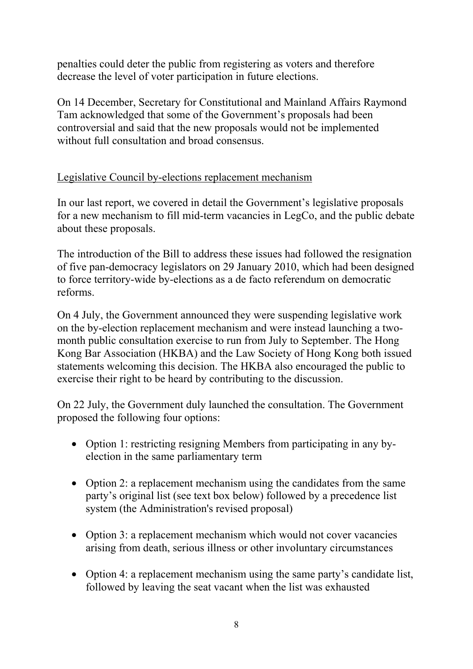penalties could deter the public from registering as voters and therefore decrease the level of voter participation in future elections.

On 14 December, Secretary for Constitutional and Mainland Affairs Raymond Tam acknowledged that some of the Government's proposals had been controversial and said that the new proposals would not be implemented without full consultation and broad consensus.

# Legislative Council by-elections replacement mechanism

In our last report, we covered in detail the Government's legislative proposals for a new mechanism to fill mid-term vacancies in LegCo, and the public debate about these proposals.

The introduction of the Bill to address these issues had followed the resignation of five pan-democracy legislators on 29 January 2010, which had been designed to force territory-wide by-elections as a de facto referendum on democratic reforms.

On 4 July, the Government announced they were suspending legislative work on the by-election replacement mechanism and were instead launching a twomonth public consultation exercise to run from July to September. The Hong Kong Bar Association (HKBA) and the Law Society of Hong Kong both issued statements welcoming this decision. The HKBA also encouraged the public to exercise their right to be heard by contributing to the discussion.

On 22 July, the Government duly launched the consultation. The Government proposed the following four options:

- Option 1: restricting resigning Members from participating in any byelection in the same parliamentary term
- Option 2: a replacement mechanism using the candidates from the same party's original list (see text box below) followed by a precedence list system (the Administration's revised proposal)
- Option 3: a replacement mechanism which would not cover vacancies arising from death, serious illness or other involuntary circumstances
- Option 4: a replacement mechanism using the same party's candidate list, followed by leaving the seat vacant when the list was exhausted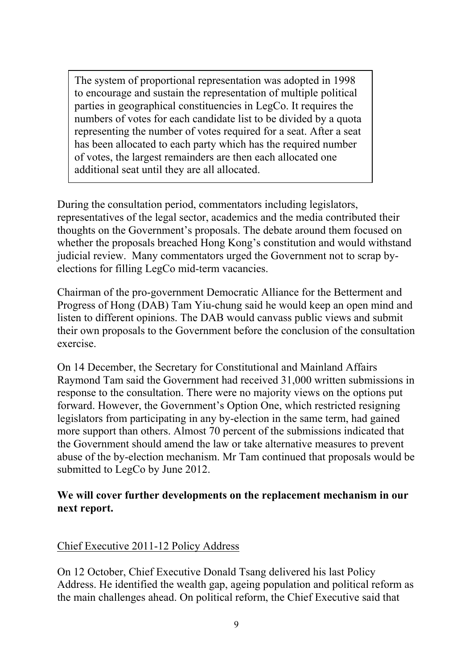The system of proportional representation was adopted in 1998 to encourage and sustain the representation of multiple political parties in geographical constituencies in LegCo. It requires the numbers of votes for each candidate list to be divided by a quota representing the number of votes required for a seat. After a seat has been allocated to each party which has the required number of votes, the largest remainders are then each allocated one additional seat until they are all allocated.

During the consultation period, commentators including legislators, representatives of the legal sector, academics and the media contributed their thoughts on the Government's proposals. The debate around them focused on whether the proposals breached Hong Kong's constitution and would withstand judicial review. Many commentators urged the Government not to scrap byelections for filling LegCo mid-term vacancies.

Chairman of the pro-government Democratic Alliance for the Betterment and Progress of Hong (DAB) Tam Yiu-chung said he would keep an open mind and listen to different opinions. The DAB would canvass public views and submit their own proposals to the Government before the conclusion of the consultation exercise.

On 14 December, the Secretary for Constitutional and Mainland Affairs Raymond Tam said the Government had received 31,000 written submissions in response to the consultation. There were no majority views on the options put forward. However, the Government's Option One, which restricted resigning legislators from participating in any by-election in the same term, had gained more support than others. Almost 70 percent of the submissions indicated that the Government should amend the law or take alternative measures to prevent abuse of the by-election mechanism. Mr Tam continued that proposals would be submitted to LegCo by June 2012.

## **We will cover further developments on the replacement mechanism in our next report.**

# Chief Executive 2011-12 Policy Address

On 12 October, Chief Executive Donald Tsang delivered his last Policy Address. He identified the wealth gap, ageing population and political reform as the main challenges ahead. On political reform, the Chief Executive said that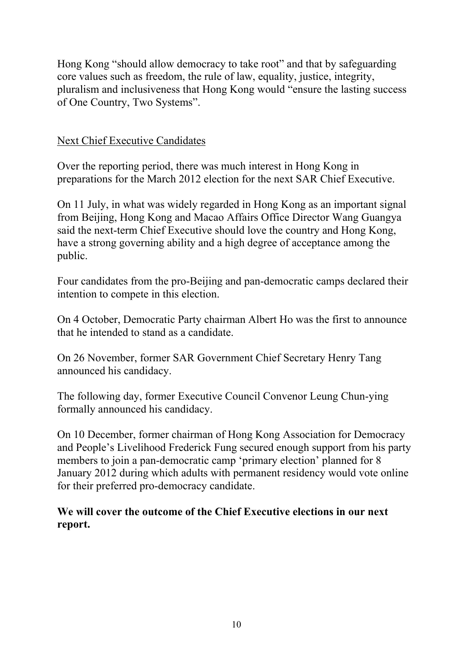Hong Kong "should allow democracy to take root" and that by safeguarding core values such as freedom, the rule of law, equality, justice, integrity, pluralism and inclusiveness that Hong Kong would "ensure the lasting success of One Country, Two Systems".

## Next Chief Executive Candidates

Over the reporting period, there was much interest in Hong Kong in preparations for the March 2012 election for the next SAR Chief Executive.

On 11 July, in what was widely regarded in Hong Kong as an important signal from Beijing, Hong Kong and Macao Affairs Office Director Wang Guangya said the next-term Chief Executive should love the country and Hong Kong, have a strong governing ability and a high degree of acceptance among the public.

Four candidates from the pro-Beijing and pan-democratic camps declared their intention to compete in this election.

On 4 October, Democratic Party chairman Albert Ho was the first to announce that he intended to stand as a candidate.

On 26 November, former SAR Government Chief Secretary Henry Tang announced his candidacy.

The following day, former Executive Council Convenor Leung Chun-ying formally announced his candidacy.

On 10 December, former chairman of Hong Kong Association for Democracy and People's Livelihood Frederick Fung secured enough support from his party members to join a pan-democratic camp 'primary election' planned for 8 January 2012 during which adults with permanent residency would vote online for their preferred pro-democracy candidate.

**We will cover the outcome of the Chief Executive elections in our next report.**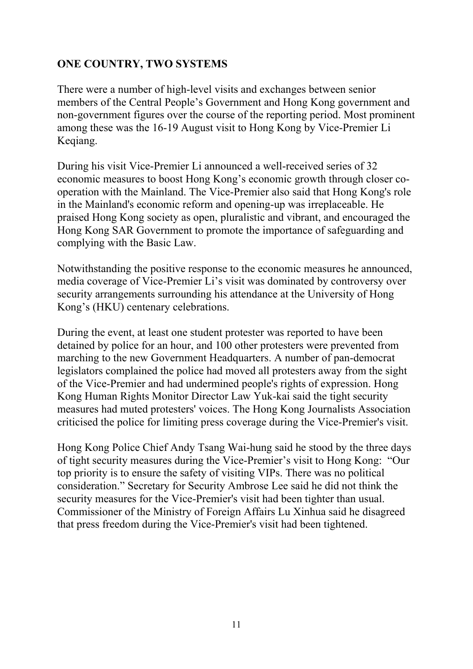# **ONE COUNTRY, TWO SYSTEMS**

There were a number of high-level visits and exchanges between senior members of the Central People's Government and Hong Kong government and non-government figures over the course of the reporting period. Most prominent among these was the 16-19 August visit to Hong Kong by Vice-Premier Li Keqiang.

During his visit Vice-Premier Li announced a well-received series of 32 economic measures to boost Hong Kong's economic growth through closer cooperation with the Mainland. The Vice-Premier also said that Hong Kong's role in the Mainland's economic reform and opening-up was irreplaceable. He praised Hong Kong society as open, pluralistic and vibrant, and encouraged the Hong Kong SAR Government to promote the importance of safeguarding and complying with the Basic Law.

Notwithstanding the positive response to the economic measures he announced, media coverage of Vice-Premier Li's visit was dominated by controversy over security arrangements surrounding his attendance at the University of Hong Kong's (HKU) centenary celebrations.

During the event, at least one student protester was reported to have been detained by police for an hour, and 100 other protesters were prevented from marching to the new Government Headquarters. A number of pan-democrat legislators complained the police had moved all protesters away from the sight of the Vice-Premier and had undermined people's rights of expression. Hong Kong Human Rights Monitor Director Law Yuk-kai said the tight security measures had muted protesters' voices. The Hong Kong Journalists Association criticised the police for limiting press coverage during the Vice-Premier's visit.

Hong Kong Police Chief Andy Tsang Wai-hung said he stood by the three days of tight security measures during the Vice-Premier's visit to Hong Kong: "Our top priority is to ensure the safety of visiting VIPs. There was no political consideration." Secretary for Security Ambrose Lee said he did not think the security measures for the Vice-Premier's visit had been tighter than usual. Commissioner of the Ministry of Foreign Affairs Lu Xinhua said he disagreed that press freedom during the Vice-Premier's visit had been tightened.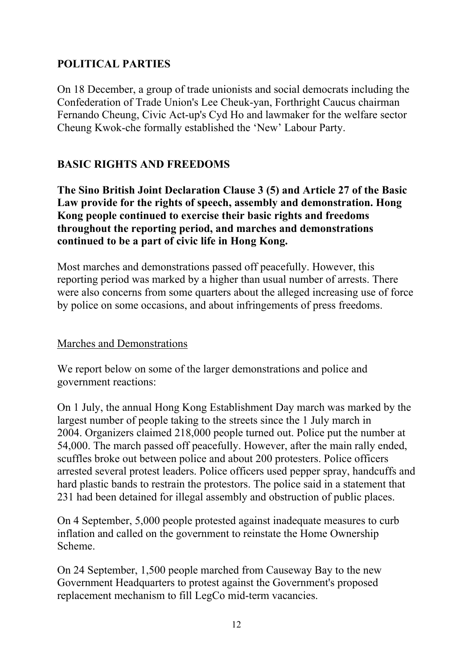# **POLITICAL PARTIES**

On 18 December, a group of trade unionists and social democrats including the Confederation of Trade Union's Lee Cheuk-yan, Forthright Caucus chairman Fernando Cheung, Civic Act-up's Cyd Ho and lawmaker for the welfare sector Cheung Kwok-che formally established the 'New' Labour Party.

# **BASIC RIGHTS AND FREEDOMS**

**The Sino British Joint Declaration Clause 3 (5) and Article 27 of the Basic Law provide for the rights of speech, assembly and demonstration. Hong Kong people continued to exercise their basic rights and freedoms throughout the reporting period, and marches and demonstrations continued to be a part of civic life in Hong Kong.** 

Most marches and demonstrations passed off peacefully. However, this reporting period was marked by a higher than usual number of arrests. There were also concerns from some quarters about the alleged increasing use of force by police on some occasions, and about infringements of press freedoms.

#### Marches and Demonstrations

We report below on some of the larger demonstrations and police and government reactions:

On 1 July, the annual Hong Kong Establishment Day march was marked by the largest number of people taking to the streets since the 1 July march in 2004. Organizers claimed 218,000 people turned out. Police put the number at 54,000. The march passed off peacefully. However, after the main rally ended, scuffles broke out between police and about 200 protesters. Police officers arrested several protest leaders. Police officers used pepper spray, handcuffs and hard plastic bands to restrain the protestors. The police said in a statement that 231 had been detained for illegal assembly and obstruction of public places.

On 4 September, 5,000 people protested against inadequate measures to curb inflation and called on the government to reinstate the Home Ownership Scheme.

On 24 September, 1,500 people marched from Causeway Bay to the new Government Headquarters to protest against the Government's proposed replacement mechanism to fill LegCo mid-term vacancies.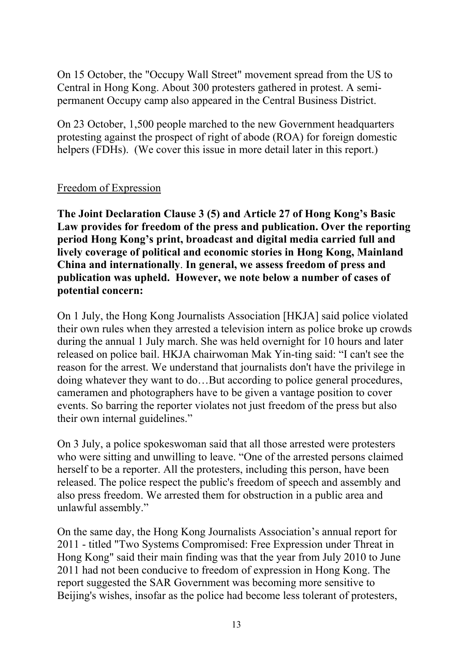On 15 October, the "Occupy Wall Street" movement spread from the US to Central in Hong Kong. About 300 protesters gathered in protest. A semipermanent Occupy camp also appeared in the Central Business District.

On 23 October, 1,500 people marched to the new Government headquarters protesting against the prospect of right of abode (ROA) for foreign domestic helpers (FDHs). (We cover this issue in more detail later in this report.)

#### Freedom of Expression

**The Joint Declaration Clause 3 (5) and Article 27 of Hong Kong's Basic Law provides for freedom of the press and publication. Over the reporting period Hong Kong's print, broadcast and digital media carried full and lively coverage of political and economic stories in Hong Kong, Mainland China and internationally**. **In general, we assess freedom of press and publication was upheld. However, we note below a number of cases of potential concern:**

On 1 July, the Hong Kong Journalists Association [HKJA] said police violated their own rules when they arrested a television intern as police broke up crowds during the annual 1 July march. She was held overnight for 10 hours and later released on police bail. HKJA chairwoman Mak Yin-ting said: "I can't see the reason for the arrest. We understand that journalists don't have the privilege in doing whatever they want to do…But according to police general procedures, cameramen and photographers have to be given a vantage position to cover events. So barring the reporter violates not just freedom of the press but also their own internal guidelines."

On 3 July, a police spokeswoman said that all those arrested were protesters who were sitting and unwilling to leave. "One of the arrested persons claimed herself to be a reporter. All the protesters, including this person, have been released. The police respect the public's freedom of speech and assembly and also press freedom. We arrested them for obstruction in a public area and unlawful assembly."

On the same day, the Hong Kong Journalists Association's annual report for 2011 - titled "Two Systems Compromised: Free Expression under Threat in Hong Kong" said their main finding was that the year from July 2010 to June 2011 had not been conducive to freedom of expression in Hong Kong. The report suggested the SAR Government was becoming more sensitive to Beijing's wishes, insofar as the police had become less tolerant of protesters,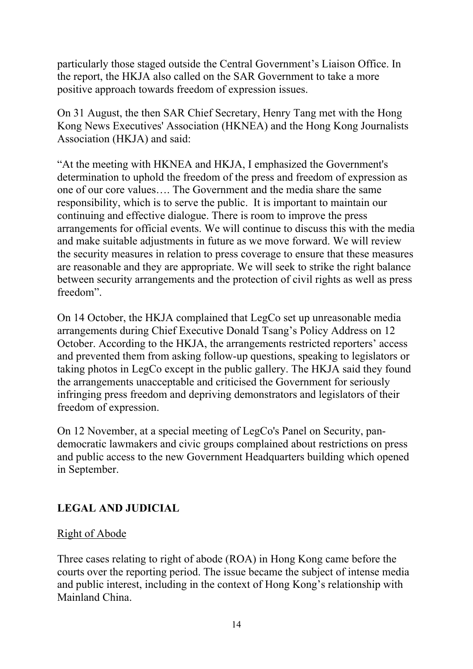particularly those staged outside the Central Government's Liaison Office. In the report, the HKJA also called on the SAR Government to take a more positive approach towards freedom of expression issues.

On 31 August, the then SAR Chief Secretary, Henry Tang met with the Hong Kong News Executives' Association (HKNEA) and the Hong Kong Journalists Association (HKJA) and said:

"At the meeting with HKNEA and HKJA, I emphasized the Government's determination to uphold the freedom of the press and freedom of expression as one of our core values…. The Government and the media share the same responsibility, which is to serve the public. It is important to maintain our continuing and effective dialogue. There is room to improve the press arrangements for official events. We will continue to discuss this with the media and make suitable adjustments in future as we move forward. We will review the security measures in relation to press coverage to ensure that these measures are reasonable and they are appropriate. We will seek to strike the right balance between security arrangements and the protection of civil rights as well as press freedom".

On 14 October, the HKJA complained that LegCo set up unreasonable media arrangements during Chief Executive Donald Tsang's Policy Address on 12 October. According to the HKJA, the arrangements restricted reporters' access and prevented them from asking follow-up questions, speaking to legislators or taking photos in LegCo except in the public gallery. The HKJA said they found the arrangements unacceptable and criticised the Government for seriously infringing press freedom and depriving demonstrators and legislators of their freedom of expression.

On 12 November, at a special meeting of LegCo's Panel on Security, pandemocratic lawmakers and civic groups complained about restrictions on press and public access to the new Government Headquarters building which opened in September.

# **LEGAL AND JUDICIAL**

# Right of Abode

Three cases relating to right of abode (ROA) in Hong Kong came before the courts over the reporting period. The issue became the subject of intense media and public interest, including in the context of Hong Kong's relationship with Mainland China.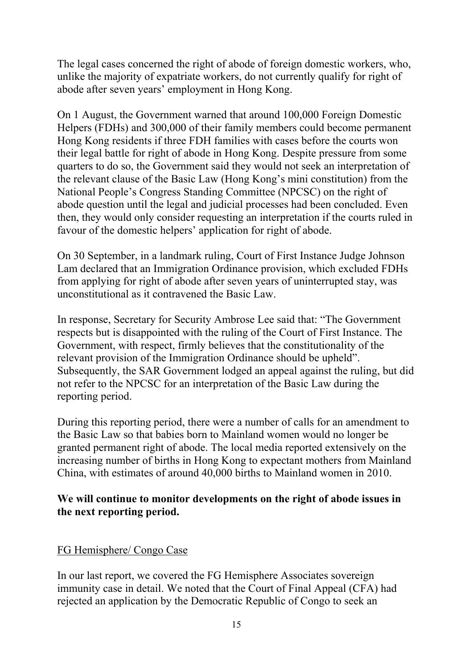The legal cases concerned the right of abode of foreign domestic workers, who, unlike the majority of expatriate workers, do not currently qualify for right of abode after seven years' employment in Hong Kong.

On 1 August, the Government warned that around 100,000 Foreign Domestic Helpers (FDHs) and 300,000 of their family members could become permanent Hong Kong residents if three FDH families with cases before the courts won their legal battle for right of abode in Hong Kong. Despite pressure from some quarters to do so, the Government said they would not seek an interpretation of the relevant clause of the Basic Law (Hong Kong's mini constitution) from the National People's Congress Standing Committee (NPCSC) on the right of abode question until the legal and judicial processes had been concluded. Even then, they would only consider requesting an interpretation if the courts ruled in favour of the domestic helpers' application for right of abode.

On 30 September, in a landmark ruling, Court of First Instance Judge Johnson Lam declared that an Immigration Ordinance provision, which excluded FDHs from applying for right of abode after seven years of uninterrupted stay, was unconstitutional as it contravened the Basic Law.

In response, Secretary for Security Ambrose Lee said that: "The Government respects but is disappointed with the ruling of the Court of First Instance. The Government, with respect, firmly believes that the constitutionality of the relevant provision of the Immigration Ordinance should be upheld". Subsequently, the SAR Government lodged an appeal against the ruling, but did not refer to the NPCSC for an interpretation of the Basic Law during the reporting period.

During this reporting period, there were a number of calls for an amendment to the Basic Law so that babies born to Mainland women would no longer be granted permanent right of abode. The local media reported extensively on the increasing number of births in Hong Kong to expectant mothers from Mainland China, with estimates of around 40,000 births to Mainland women in 2010.

#### **We will continue to monitor developments on the right of abode issues in the next reporting period.**

# FG Hemisphere/ Congo Case

In our last report, we covered the FG Hemisphere Associates sovereign immunity case in detail. We noted that the Court of Final Appeal (CFA) had rejected an application by the Democratic Republic of Congo to seek an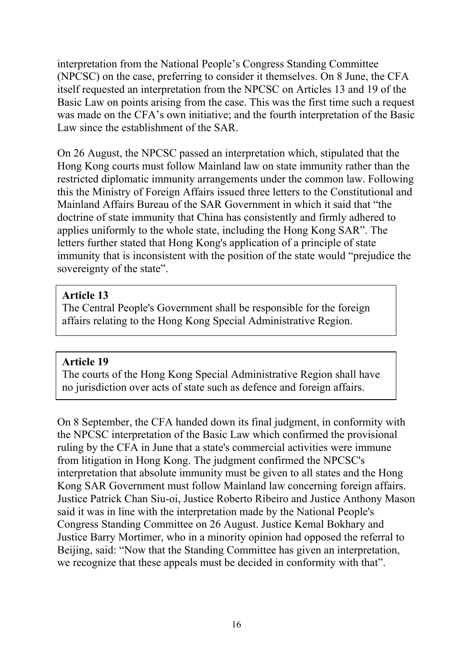interpretation from the National People's Congress Standing Committee (NPCSC) on the case, preferring to consider it themselves. On 8 June, the CFA itself requested an interpretation from the NPCSC on Articles 13 and 19 of the Basic Law on points arising from the case. This was the first time such a request was made on the CFA's own initiative; and the fourth interpretation of the Basic Law since the establishment of the SAR.

On 26 August, the NPCSC passed an interpretation which, stipulated that the Hong Kong courts must follow Mainland law on state immunity rather than the restricted diplomatic immunity arrangements under the common law. Following this the Ministry of Foreign Affairs issued three letters to the Constitutional and Mainland Affairs Bureau of the SAR Government in which it said that "the doctrine of state immunity that China has consistently and firmly adhered to applies uniformly to the whole state, including the Hong Kong SAR". The letters further stated that Hong Kong's application of a principle of state immunity that is inconsistent with the position of the state would "prejudice the sovereignty of the state".

#### **Article 13**

The Central People's Government shall be responsible for the foreign affairs relating to the Hong Kong Special Administrative Region.

#### **Article 19**

The courts of the Hong Kong Special Administrative Region shall have no jurisdiction over acts of state such as defence and foreign affairs.

On 8 September, the CFA handed down its final judgment, in conformity with the NPCSC interpretation of the Basic Law which confirmed the provisional ruling by the CFA in June that a state's commercial activities were immune from litigation in Hong Kong. The judgment confirmed the NPCSC's interpretation that absolute immunity must be given to all states and the Hong Kong SAR Government must follow Mainland law concerning foreign affairs. Justice Patrick Chan Siu-oi, Justice Roberto Ribeiro and Justice Anthony Mason said it was in line with the interpretation made by the National People's Congress Standing Committee on 26 August. Justice Kemal Bokhary and Justice Barry Mortimer, who in a minority opinion had opposed the referral to Beijing, said: "Now that the Standing Committee has given an interpretation, we recognize that these appeals must be decided in conformity with that".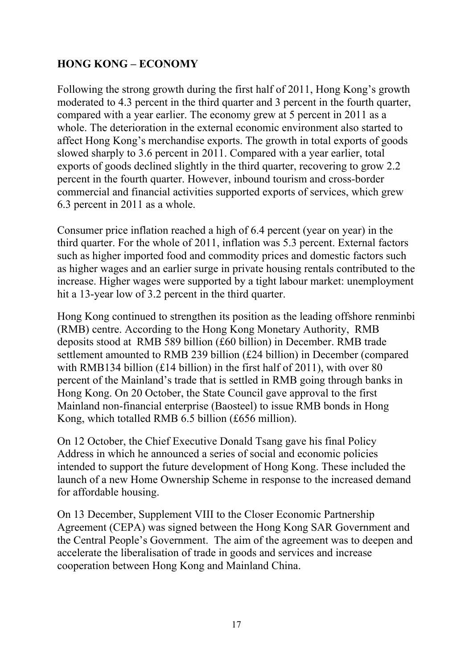# **HONG KONG – ECONOMY**

Following the strong growth during the first half of 2011, Hong Kong's growth moderated to 4.3 percent in the third quarter and 3 percent in the fourth quarter, compared with a year earlier. The economy grew at 5 percent in 2011 as a whole. The deterioration in the external economic environment also started to affect Hong Kong's merchandise exports. The growth in total exports of goods slowed sharply to 3.6 percent in 2011. Compared with a year earlier, total exports of goods declined slightly in the third quarter, recovering to grow 2.2 percent in the fourth quarter. However, inbound tourism and cross-border commercial and financial activities supported exports of services, which grew 6.3 percent in 2011 as a whole.

Consumer price inflation reached a high of 6.4 percent (year on year) in the third quarter. For the whole of 2011, inflation was 5.3 percent. External factors such as higher imported food and commodity prices and domestic factors such as higher wages and an earlier surge in private housing rentals contributed to the increase. Higher wages were supported by a tight labour market: unemployment hit a 13-year low of 3.2 percent in the third quarter.

Hong Kong continued to strengthen its position as the leading offshore renminbi (RMB) centre. According to the Hong Kong Monetary Authority, RMB deposits stood at RMB 589 billion (£60 billion) in December. RMB trade settlement amounted to RMB 239 billion (£24 billion) in December (compared with RMB134 billion (£14 billion) in the first half of 2011), with over 80 percent of the Mainland's trade that is settled in RMB going through banks in Hong Kong. On 20 October, the State Council gave approval to the first Mainland non-financial enterprise (Baosteel) to issue RMB bonds in Hong Kong, which totalled RMB 6.5 billion (£656 million).

On 12 October, the Chief Executive Donald Tsang gave his final Policy Address in which he announced a series of social and economic policies intended to support the future development of Hong Kong. These included the launch of a new Home Ownership Scheme in response to the increased demand for affordable housing.

On 13 December, Supplement VIII to the Closer Economic Partnership Agreement (CEPA) was signed between the Hong Kong SAR Government and the Central People's Government. The aim of the agreement was to deepen and accelerate the liberalisation of trade in goods and services and increase cooperation between Hong Kong and Mainland China.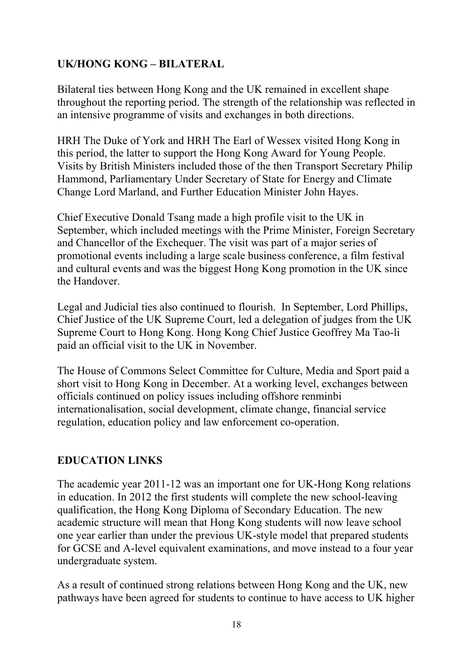# **UK/HONG KONG – BILATERAL**

Bilateral ties between Hong Kong and the UK remained in excellent shape throughout the reporting period. The strength of the relationship was reflected in an intensive programme of visits and exchanges in both directions.

HRH The Duke of York and HRH The Earl of Wessex visited Hong Kong in this period, the latter to support the Hong Kong Award for Young People. Visits by British Ministers included those of the then Transport Secretary Philip Hammond, Parliamentary Under Secretary of State for Energy and Climate Change Lord Marland, and Further Education Minister John Hayes.

Chief Executive Donald Tsang made a high profile visit to the UK in September, which included meetings with the Prime Minister, Foreign Secretary and Chancellor of the Exchequer. The visit was part of a major series of promotional events including a large scale business conference, a film festival and cultural events and was the biggest Hong Kong promotion in the UK since the Handover.

Legal and Judicial ties also continued to flourish. In September, Lord Phillips, Chief Justice of the UK Supreme Court, led a delegation of judges from the UK Supreme Court to Hong Kong. Hong Kong Chief Justice Geoffrey Ma Tao-li paid an official visit to the UK in November.

The House of Commons Select Committee for Culture, Media and Sport paid a short visit to Hong Kong in December. At a working level, exchanges between officials continued on policy issues including offshore renminbi internationalisation, social development, climate change, financial service regulation, education policy and law enforcement co-operation.

# **EDUCATION LINKS**

The academic year 2011-12 was an important one for UK-Hong Kong relations in education. In 2012 the first students will complete the new school-leaving qualification, the Hong Kong Diploma of Secondary Education. The new academic structure will mean that Hong Kong students will now leave school one year earlier than under the previous UK-style model that prepared students for GCSE and A-level equivalent examinations, and move instead to a four year undergraduate system.

As a result of continued strong relations between Hong Kong and the UK, new pathways have been agreed for students to continue to have access to UK higher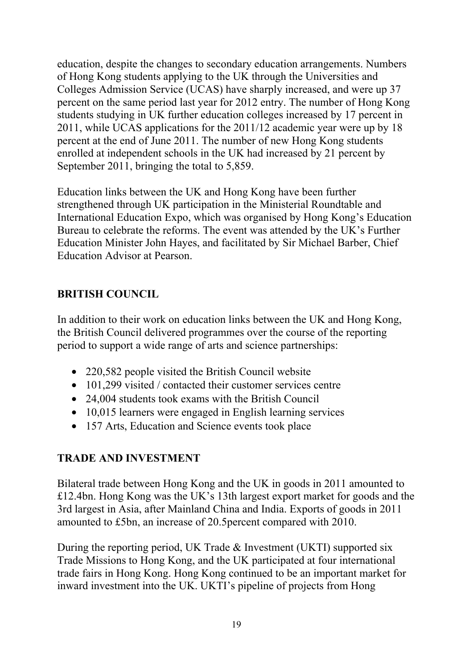education, despite the changes to secondary education arrangements. Numbers of Hong Kong students applying to the UK through the Universities and Colleges Admission Service (UCAS) have sharply increased, and were up 37 percent on the same period last year for 2012 entry. The number of Hong Kong students studying in UK further education colleges increased by 17 percent in 2011, while UCAS applications for the 2011/12 academic year were up by 18 percent at the end of June 2011. The number of new Hong Kong students enrolled at independent schools in the UK had increased by 21 percent by September 2011, bringing the total to 5,859.

Education links between the UK and Hong Kong have been further strengthened through UK participation in the Ministerial Roundtable and International Education Expo, which was organised by Hong Kong's Education Bureau to celebrate the reforms. The event was attended by the UK's Further Education Minister John Hayes, and facilitated by Sir Michael Barber, Chief Education Advisor at Pearson.

# **BRITISH COUNCIL**

In addition to their work on education links between the UK and Hong Kong, the British Council delivered programmes over the course of the reporting period to support a wide range of arts and science partnerships:

- 220,582 people visited the British Council website
- 101,299 visited / contacted their customer services centre
- 24,004 students took exams with the British Council
- 10,015 learners were engaged in English learning services
- 157 Arts, Education and Science events took place

#### **TRADE AND INVESTMENT**

Bilateral trade between Hong Kong and the UK in goods in 2011 amounted to £12.4bn. Hong Kong was the UK's 13th largest export market for goods and the 3rd largest in Asia, after Mainland China and India. Exports of goods in 2011 amounted to £5bn, an increase of 20.5percent compared with 2010.

During the reporting period, UK Trade & Investment (UKTI) supported six Trade Missions to Hong Kong, and the UK participated at four international trade fairs in Hong Kong. Hong Kong continued to be an important market for inward investment into the UK. UKTI's pipeline of projects from Hong